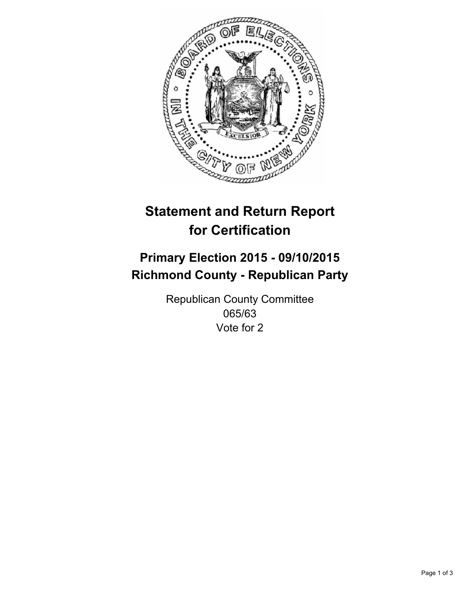

# **Statement and Return Report for Certification**

## **Primary Election 2015 - 09/10/2015 Richmond County - Republican Party**

Republican County Committee 065/63 Vote for 2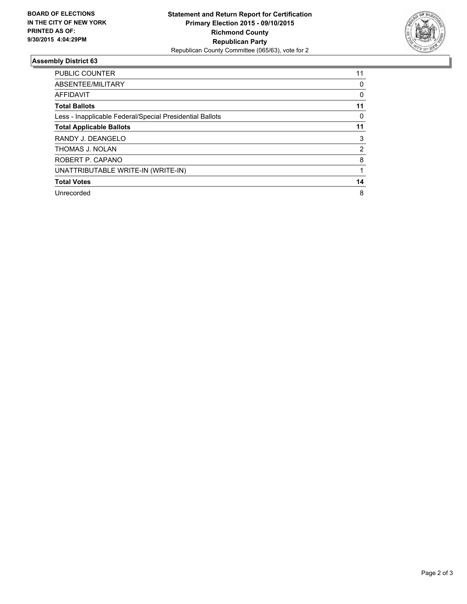

#### **Assembly District 63**

| <b>PUBLIC COUNTER</b>                                    | 11 |
|----------------------------------------------------------|----|
| ABSENTEE/MILITARY                                        | 0  |
| <b>AFFIDAVIT</b>                                         | 0  |
| <b>Total Ballots</b>                                     | 11 |
| Less - Inapplicable Federal/Special Presidential Ballots | 0  |
| <b>Total Applicable Ballots</b>                          | 11 |
| RANDY J. DEANGELO                                        | 3  |
| THOMAS J. NOLAN                                          | 2  |
| ROBERT P. CAPANO                                         | 8  |
| UNATTRIBUTABLE WRITE-IN (WRITE-IN)                       |    |
| <b>Total Votes</b>                                       | 14 |
| Unrecorded                                               | 8  |